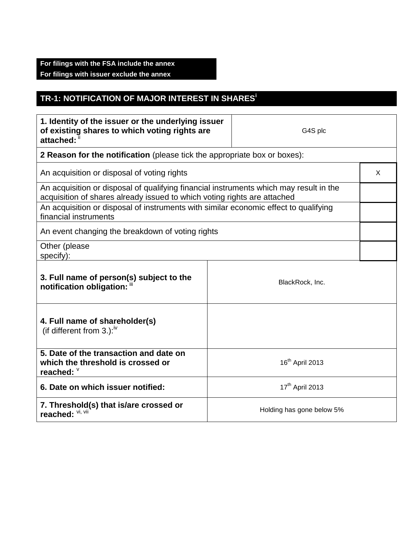## **For filings with the FSA include the annex For filings with issuer exclude the annex**

## **TR-1: NOTIFICATION OF MAJOR INTEREST IN SHARES<sup>i</sup>**

| 1. Identity of the issuer or the underlying issuer<br>of existing shares to which voting rights are<br>attached: "                                                 |                 | G4S plc                     |   |
|--------------------------------------------------------------------------------------------------------------------------------------------------------------------|-----------------|-----------------------------|---|
| 2 Reason for the notification (please tick the appropriate box or boxes):                                                                                          |                 |                             |   |
| An acquisition or disposal of voting rights                                                                                                                        |                 |                             | X |
| An acquisition or disposal of qualifying financial instruments which may result in the<br>acquisition of shares already issued to which voting rights are attached |                 |                             |   |
| An acquisition or disposal of instruments with similar economic effect to qualifying<br>financial instruments                                                      |                 |                             |   |
| An event changing the breakdown of voting rights                                                                                                                   |                 |                             |   |
| Other (please<br>specify):                                                                                                                                         |                 |                             |   |
| 3. Full name of person(s) subject to the<br>notification obligation: "                                                                                             |                 | BlackRock, Inc.             |   |
| 4. Full name of shareholder(s)<br>(if different from 3.): $W$                                                                                                      |                 |                             |   |
| 5. Date of the transaction and date on<br>which the threshold is crossed or<br>reached: V                                                                          |                 | 16 <sup>th</sup> April 2013 |   |
| 6. Date on which issuer notified:                                                                                                                                  | 17th April 2013 |                             |   |
| 7. Threshold(s) that is/are crossed or<br>reached: VI, VII                                                                                                         |                 | Holding has gone below 5%   |   |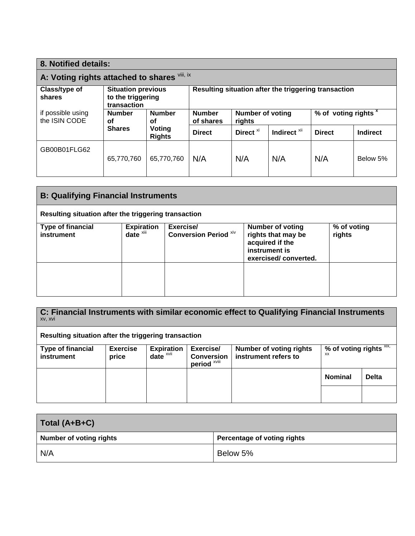| 8. Notified details:                         |                                                               |                         |                                                      |                            |                         |                                 |          |
|----------------------------------------------|---------------------------------------------------------------|-------------------------|------------------------------------------------------|----------------------------|-------------------------|---------------------------------|----------|
| A: Voting rights attached to shares Vili, ix |                                                               |                         |                                                      |                            |                         |                                 |          |
| Class/type of<br>shares                      | <b>Situation previous</b><br>to the triggering<br>transaction |                         | Resulting situation after the triggering transaction |                            |                         |                                 |          |
| if possible using<br>the ISIN CODE           | <b>Number</b><br><b>Number</b><br>οf<br>οf                    |                         | <b>Number</b><br>of shares                           | Number of voting<br>rights |                         | % of voting rights <sup>x</sup> |          |
|                                              | <b>Shares</b>                                                 | Voting<br><b>Rights</b> | <b>Direct</b>                                        | Direct <sup>xi</sup>       | Indirect <sup>xii</sup> | <b>Direct</b>                   | Indirect |
| GB00B01FLG62                                 | 65,770,760                                                    | 65,770,760              | N/A                                                  | N/A                        | N/A                     | N/A                             | Below 5% |

| <b>B: Qualifying Financial Instruments</b>           |                                          |                                           |                                                                                                           |                       |  |
|------------------------------------------------------|------------------------------------------|-------------------------------------------|-----------------------------------------------------------------------------------------------------------|-----------------------|--|
| Resulting situation after the triggering transaction |                                          |                                           |                                                                                                           |                       |  |
| <b>Type of financial</b><br>instrument               | <b>Expiration</b><br>$date^{\bar{x}iii}$ | Exercise/<br><b>Conversion Period Xiv</b> | <b>Number of voting</b><br>rights that may be<br>acquired if the<br>instrument is<br>exercised/converted. | % of voting<br>rights |  |
|                                                      |                                          |                                           |                                                                                                           |                       |  |

| C: Financial Instruments with similar economic effect to Qualifying Financial Instruments<br>XV, XVI |                 |                   |                                   |                                |                            |              |
|------------------------------------------------------------------------------------------------------|-----------------|-------------------|-----------------------------------|--------------------------------|----------------------------|--------------|
| Resulting situation after the triggering transaction                                                 |                 |                   |                                   |                                |                            |              |
| <b>Type of financial</b>                                                                             | <b>Exercise</b> | <b>Expiration</b> | Exercise/                         | <b>Number of voting rights</b> | % of voting rights $XIX$ , |              |
| instrument                                                                                           | price           | $date^{\times}$   | <b>Conversion</b><br>period XViii | instrument refers to           | <b>XX</b>                  |              |
|                                                                                                      |                 |                   |                                   |                                | <b>Nominal</b>             | <b>Delta</b> |
|                                                                                                      |                 |                   |                                   |                                |                            |              |

| Total (A+B+C)                  |                             |  |  |
|--------------------------------|-----------------------------|--|--|
| <b>Number of voting rights</b> | Percentage of voting rights |  |  |
| N/A                            | Below 5%                    |  |  |